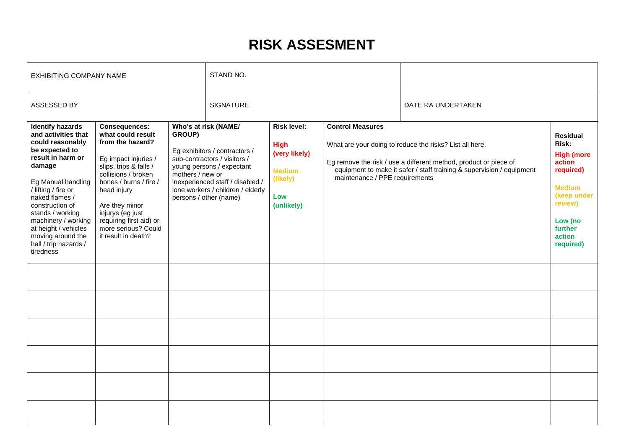# **RISK ASSESMENT**

| EXHIBITING COMPANY NAME                                                                                                                                                                                                                                                                                                             |                                                                                                                                                                                                                                                                                                |                                                                                                                                                                                                                                                     | STAND NO.        |                                                                                                      |                         |                                                                                                                                                                                                                                        |  |
|-------------------------------------------------------------------------------------------------------------------------------------------------------------------------------------------------------------------------------------------------------------------------------------------------------------------------------------|------------------------------------------------------------------------------------------------------------------------------------------------------------------------------------------------------------------------------------------------------------------------------------------------|-----------------------------------------------------------------------------------------------------------------------------------------------------------------------------------------------------------------------------------------------------|------------------|------------------------------------------------------------------------------------------------------|-------------------------|----------------------------------------------------------------------------------------------------------------------------------------------------------------------------------------------------------------------------------------|--|
| ASSESSED BY                                                                                                                                                                                                                                                                                                                         |                                                                                                                                                                                                                                                                                                |                                                                                                                                                                                                                                                     | <b>SIGNATURE</b> |                                                                                                      |                         | DATE RA UNDERTAKEN                                                                                                                                                                                                                     |  |
| <b>Identify hazards</b><br>and activities that<br>could reasonably<br>be expected to<br>result in harm or<br>damage<br>Eg Manual handling<br>/ lifting / fire or<br>naked flames /<br>construction of<br>stands / working<br>machinery / working<br>at height / vehicles<br>moving around the<br>hall / trip hazards /<br>tiredness | <b>Consequences:</b><br>what could result<br>from the hazard?<br>Eg impact injuries /<br>slips, trips & falls /<br>collisions / broken<br>bones / burns / fire /<br>head injury<br>Are they minor<br>injurys (eg just<br>requiring first aid) or<br>more serious? Could<br>it result in death? | Who's at risk (NAME/<br>GROUP)<br>Eg exhibitors / contractors /<br>sub-contractors / visitors /<br>young persons / expectant<br>mothers / new or<br>inexperienced staff / disabled /<br>lone workers / children / elderly<br>persons / other (name) |                  | <b>Risk level:</b><br><b>High</b><br>(very likely)<br><b>Medium</b><br>(likely)<br>Low<br>(unlikely) | <b>Control Measures</b> | What are your doing to reduce the risks? List all here.<br>Eg remove the risk / use a different method, product or piece of<br>equipment to make it safer / staff training & supervision / equipment<br>maintenance / PPE requirements |  |
|                                                                                                                                                                                                                                                                                                                                     |                                                                                                                                                                                                                                                                                                |                                                                                                                                                                                                                                                     |                  |                                                                                                      |                         |                                                                                                                                                                                                                                        |  |
|                                                                                                                                                                                                                                                                                                                                     |                                                                                                                                                                                                                                                                                                |                                                                                                                                                                                                                                                     |                  |                                                                                                      |                         |                                                                                                                                                                                                                                        |  |
|                                                                                                                                                                                                                                                                                                                                     |                                                                                                                                                                                                                                                                                                |                                                                                                                                                                                                                                                     |                  |                                                                                                      |                         |                                                                                                                                                                                                                                        |  |
|                                                                                                                                                                                                                                                                                                                                     |                                                                                                                                                                                                                                                                                                |                                                                                                                                                                                                                                                     |                  |                                                                                                      |                         |                                                                                                                                                                                                                                        |  |
|                                                                                                                                                                                                                                                                                                                                     |                                                                                                                                                                                                                                                                                                |                                                                                                                                                                                                                                                     |                  |                                                                                                      |                         |                                                                                                                                                                                                                                        |  |
|                                                                                                                                                                                                                                                                                                                                     |                                                                                                                                                                                                                                                                                                |                                                                                                                                                                                                                                                     |                  |                                                                                                      |                         |                                                                                                                                                                                                                                        |  |